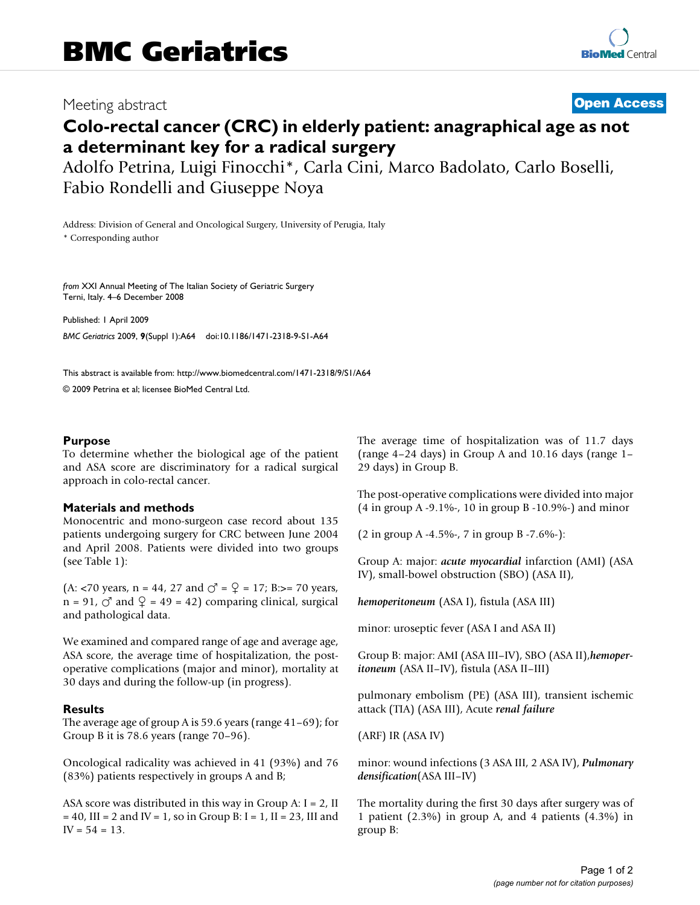## Meeting abstract **[Open Access](http://www.biomedcentral.com/info/about/charter/)**

# **Colo-rectal cancer (CRC) in elderly patient: anagraphical age as not a determinant key for a radical surgery**

Adolfo Petrina, Luigi Finocchi\*, Carla Cini, Marco Badolato, Carlo Boselli, Fabio Rondelli and Giuseppe Noya

Address: Division of General and Oncological Surgery, University of Perugia, Italy

\* Corresponding author

*from* XXI Annual Meeting of The Italian Society of Geriatric Surgery Terni, Italy. 4–6 December 2008

Published: 1 April 2009

*BMC Geriatrics* 2009, **9**(Suppl 1):A64 doi:10.1186/1471-2318-9-S1-A64

[This abstract is available from: http://www.biomedcentral.com/1471-2318/9/S1/A64](http://www.biomedcentral.com/1471-2318/9/S1/A64)

© 2009 Petrina et al; licensee BioMed Central Ltd.

#### **Purpose**

To determine whether the biological age of the patient and ASA score are discriminatory for a radical surgical approach in colo-rectal cancer.

#### **Materials and methods**

Monocentric and mono-surgeon case record about 135 patients undergoing surgery for CRC between June 2004 and April 2008. Patients were divided into two groups (see Table 1):

(A: <70 years,  $n = 44$ , 27 and  $\sigma^2 = \mathcal{Q} = 17$ ; B:>= 70 years,  $n = 91$ ,  $\circlearrowleft$  and  $\circlearrowleft = 49 = 42$ ) comparing clinical, surgical and pathological data.

We examined and compared range of age and average age, ASA score, the average time of hospitalization, the postoperative complications (major and minor), mortality at 30 days and during the follow-up (in progress).

### **Results**

The average age of group A is 59.6 years (range 41–69); for Group B it is 78.6 years (range 70–96).

Oncological radicality was achieved in 41 (93%) and 76 (83%) patients respectively in groups A and B;

ASA score was distributed in this way in Group A:  $I = 2$ , II  $= 40$ , III = 2 and IV = 1, so in Group B: I = 1, II = 23, III and  $IV = 54 = 13.$ 

The average time of hospitalization was of 11.7 days (range 4–24 days) in Group A and 10.16 days (range 1– 29 days) in Group B.

The post-operative complications were divided into major (4 in group A -9.1%-, 10 in group B -10.9%-) and minor

(2 in group A -4.5%-, 7 in group B -7.6%-):

Group A: major: *acute myocardial* infarction (AMI) (ASA IV), small-bowel obstruction (SBO) (ASA II),

*hemoperitoneum* (ASA I), fistula (ASA III)

minor: uroseptic fever (ASA I and ASA II)

Group B: major: AMI (ASA III–IV), SBO (ASA II),*hemoperitoneum* (ASA II–IV), fistula (ASA II–III)

pulmonary embolism (PE) (ASA III), transient ischemic attack (TIA) (ASA III), Acute *renal failure*

(ARF) IR (ASA IV)

minor: wound infections (3 ASA III, 2 ASA IV), *Pulmonary densification*(ASA III–IV)

The mortality during the first 30 days after surgery was of 1 patient (2.3%) in group A, and 4 patients (4.3%) in group B: